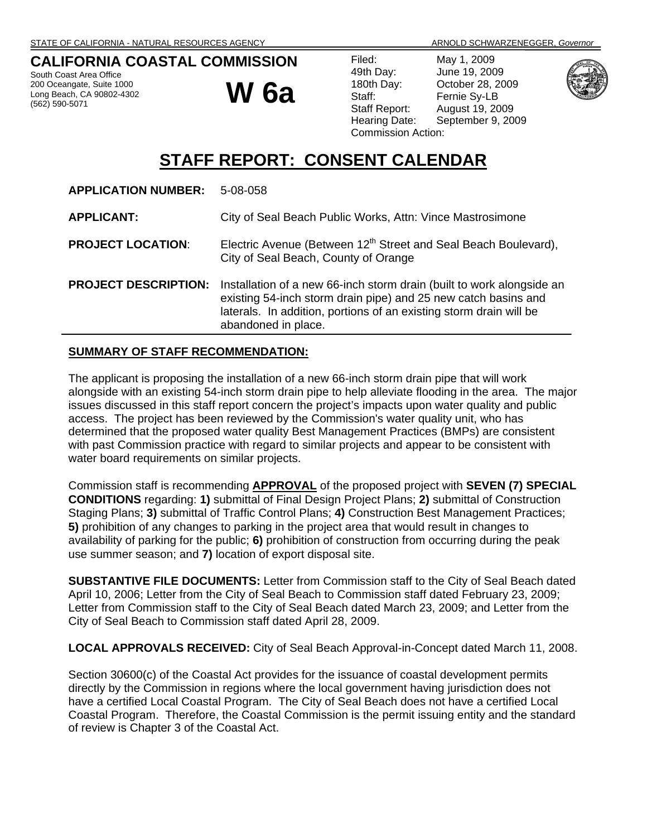# **CALIFORNIA COASTAL COMMISSION**

South Coast Area Office 200 Oceangate, Suite 1000 Long Beach, CA 90802-4302 (562) 590-5071

# **W 6a**

Filed: May 1, 2009 49th Day: June 19, 2009 180th Day: October 28, 2009 Staff: Fernie Sy-LB Staff Report: August 19, 2009 Commission Action:

Hearing Date: September 9, 2009



# **STAFF REPORT: CONSENT CALENDAR**

| <b>APPLICATION NUMBER:</b>  | 5-08-058                                                                                                                                                                                                                             |
|-----------------------------|--------------------------------------------------------------------------------------------------------------------------------------------------------------------------------------------------------------------------------------|
| <b>APPLICANT:</b>           | City of Seal Beach Public Works, Attn: Vince Mastrosimone                                                                                                                                                                            |
| <b>PROJECT LOCATION:</b>    | Electric Avenue (Between 12 <sup>th</sup> Street and Seal Beach Boulevard),<br>City of Seal Beach, County of Orange                                                                                                                  |
| <b>PROJECT DESCRIPTION:</b> | Installation of a new 66-inch storm drain (built to work alongside an<br>existing 54-inch storm drain pipe) and 25 new catch basins and<br>laterals. In addition, portions of an existing storm drain will be<br>abandoned in place. |

## **SUMMARY OF STAFF RECOMMENDATION:**

The applicant is proposing the installation of a new 66-inch storm drain pipe that will work alongside with an existing 54-inch storm drain pipe to help alleviate flooding in the area. The major issues discussed in this staff report concern the project's impacts upon water quality and public access. The project has been reviewed by the Commission's water quality unit, who has determined that the proposed water quality Best Management Practices (BMPs) are consistent with past Commission practice with regard to similar projects and appear to be consistent with water board requirements on similar projects.

Commission staff is recommending **APPROVAL** of the proposed project with **SEVEN (7) SPECIAL CONDITIONS** regarding: **1)** submittal of Final Design Project Plans; **2)** submittal of Construction Staging Plans; **3)** submittal of Traffic Control Plans; **4)** Construction Best Management Practices; **5)** prohibition of any changes to parking in the project area that would result in changes to availability of parking for the public; **6)** prohibition of construction from occurring during the peak use summer season; and **7)** location of export disposal site.

**SUBSTANTIVE FILE DOCUMENTS:** Letter from Commission staff to the City of Seal Beach dated April 10, 2006; Letter from the City of Seal Beach to Commission staff dated February 23, 2009; Letter from Commission staff to the City of Seal Beach dated March 23, 2009; and Letter from the City of Seal Beach to Commission staff dated April 28, 2009.

**LOCAL APPROVALS RECEIVED:** City of Seal Beach Approval-in-Concept dated March 11, 2008.

Section 30600(c) of the Coastal Act provides for the issuance of coastal development permits directly by the Commission in regions where the local government having jurisdiction does not have a certified Local Coastal Program. The City of Seal Beach does not have a certified Local Coastal Program. Therefore, the Coastal Commission is the permit issuing entity and the standard of review is Chapter 3 of the Coastal Act.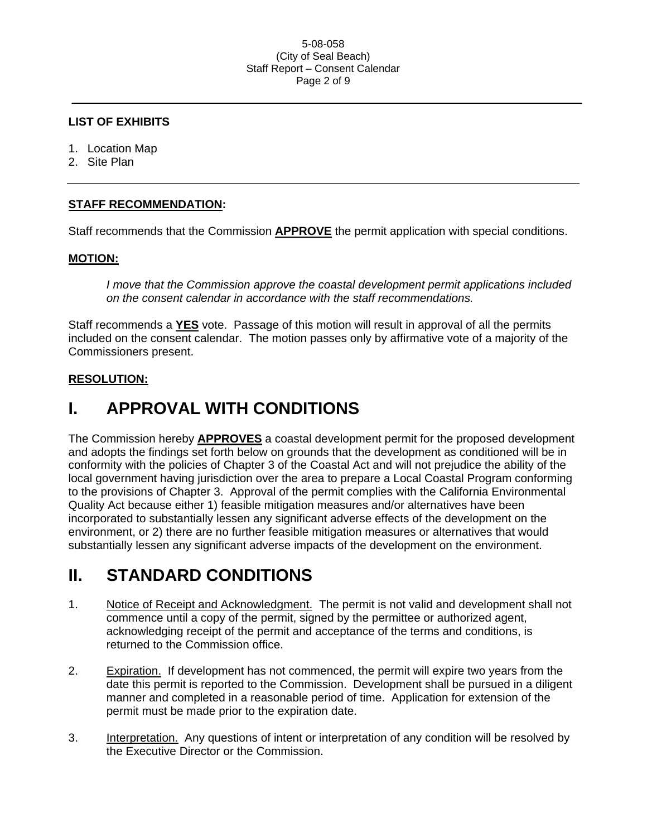#### 5-08-058 (City of Seal Beach) Staff Report – Consent Calendar Page 2 of 9

#### **LIST OF EXHIBITS**

- 1. Location Map
- 2. Site Plan

## **STAFF RECOMMENDATION:**

Staff recommends that the Commission **APPROVE** the permit application with special conditions.

#### **MOTION:**

*I move that the Commission approve the coastal development permit applications included on the consent calendar in accordance with the staff recommendations.*

Staff recommends a **YES** vote. Passage of this motion will result in approval of all the permits included on the consent calendar. The motion passes only by affirmative vote of a majority of the Commissioners present.

#### **RESOLUTION:**

# **I. APPROVAL WITH CONDITIONS**

The Commission hereby **APPROVES** a coastal development permit for the proposed development and adopts the findings set forth below on grounds that the development as conditioned will be in conformity with the policies of Chapter 3 of the Coastal Act and will not prejudice the ability of the local government having jurisdiction over the area to prepare a Local Coastal Program conforming to the provisions of Chapter 3. Approval of the permit complies with the California Environmental Quality Act because either 1) feasible mitigation measures and/or alternatives have been incorporated to substantially lessen any significant adverse effects of the development on the environment, or 2) there are no further feasible mitigation measures or alternatives that would substantially lessen any significant adverse impacts of the development on the environment.

# **II. STANDARD CONDITIONS**

- 1. Notice of Receipt and Acknowledgment. The permit is not valid and development shall not commence until a copy of the permit, signed by the permittee or authorized agent, acknowledging receipt of the permit and acceptance of the terms and conditions, is returned to the Commission office.
- 2. Expiration. If development has not commenced, the permit will expire two years from the date this permit is reported to the Commission. Development shall be pursued in a diligent manner and completed in a reasonable period of time. Application for extension of the permit must be made prior to the expiration date.
- 3. Interpretation. Any questions of intent or interpretation of any condition will be resolved by the Executive Director or the Commission.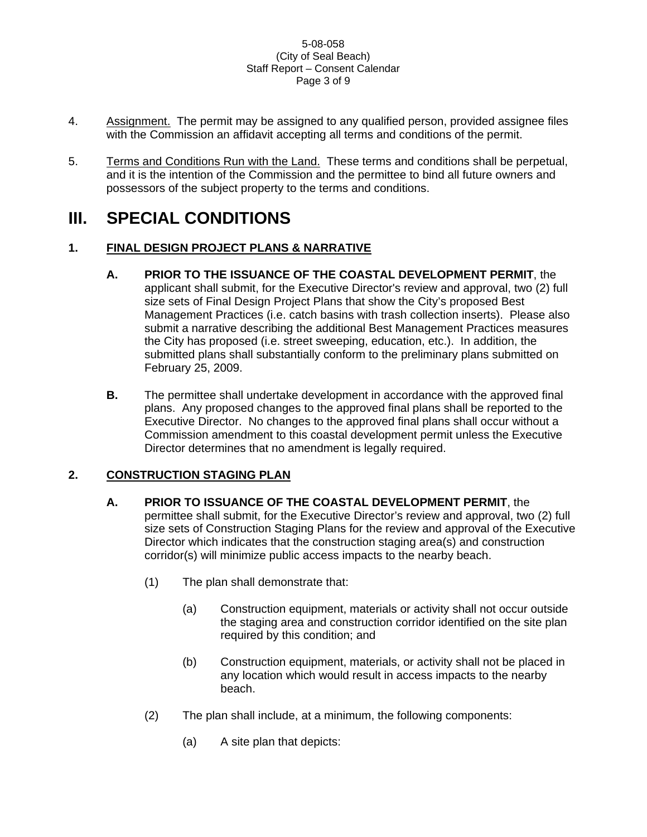#### 5-08-058 (City of Seal Beach) Staff Report – Consent Calendar Page 3 of 9

- 4. Assignment. The permit may be assigned to any qualified person, provided assignee files with the Commission an affidavit accepting all terms and conditions of the permit.
- 5. Terms and Conditions Run with the Land. These terms and conditions shall be perpetual, and it is the intention of the Commission and the permittee to bind all future owners and possessors of the subject property to the terms and conditions.

# **III. SPECIAL CONDITIONS**

# **1. FINAL DESIGN PROJECT PLANS & NARRATIVE**

**A. PRIOR TO THE ISSUANCE OF THE COASTAL DEVELOPMENT PERMIT**, the

applicant shall submit, for the Executive Director's review and approval, two (2) full size sets of Final Design Project Plans that show the City's proposed Best Management Practices (i.e. catch basins with trash collection inserts). Please also submit a narrative describing the additional Best Management Practices measures the City has proposed (i.e. street sweeping, education, etc.). In addition, the submitted plans shall substantially conform to the preliminary plans submitted on February 25, 2009.

**B.** The permittee shall undertake development in accordance with the approved final plans. Any proposed changes to the approved final plans shall be reported to the Executive Director. No changes to the approved final plans shall occur without a Commission amendment to this coastal development permit unless the Executive Director determines that no amendment is legally required.

# **2. CONSTRUCTION STAGING PLAN**

- **A. PRIOR TO ISSUANCE OF THE COASTAL DEVELOPMENT PERMIT**, the permittee shall submit, for the Executive Director's review and approval, two (2) full size sets of Construction Staging Plans for the review and approval of the Executive Director which indicates that the construction staging area(s) and construction corridor(s) will minimize public access impacts to the nearby beach.
	- (1) The plan shall demonstrate that:
		- (a) Construction equipment, materials or activity shall not occur outside the staging area and construction corridor identified on the site plan required by this condition; and
		- (b) Construction equipment, materials, or activity shall not be placed in any location which would result in access impacts to the nearby beach.
	- (2) The plan shall include, at a minimum, the following components:
		- (a) A site plan that depicts: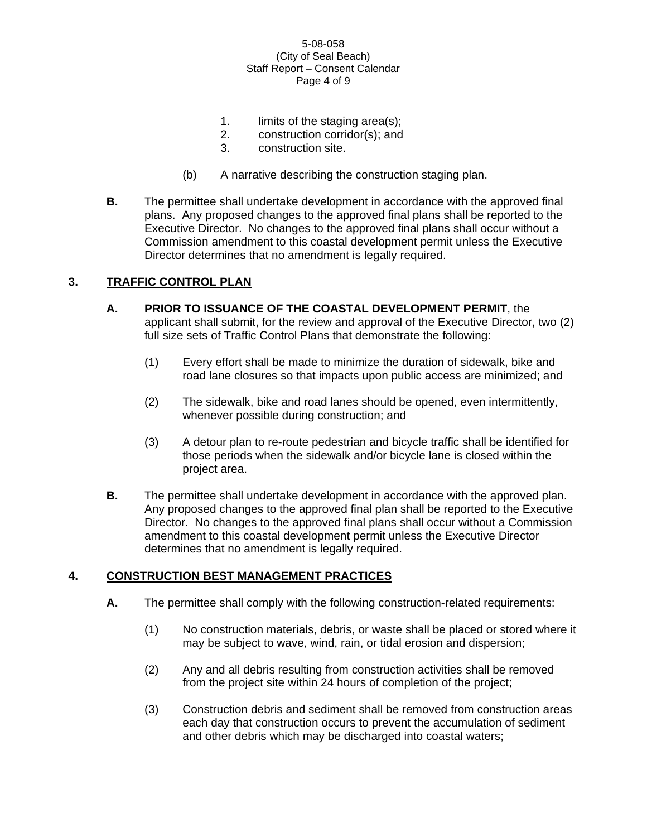#### 5-08-058 (City of Seal Beach) Staff Report – Consent Calendar Page 4 of 9

- 1. limits of the staging area(s);
- 2. construction corridor(s); and
- 3. construction site.
- (b) A narrative describing the construction staging plan.
- **B.** The permittee shall undertake development in accordance with the approved final plans. Any proposed changes to the approved final plans shall be reported to the Executive Director. No changes to the approved final plans shall occur without a Commission amendment to this coastal development permit unless the Executive Director determines that no amendment is legally required.

# **3. TRAFFIC CONTROL PLAN**

- **A. PRIOR TO ISSUANCE OF THE COASTAL DEVELOPMENT PERMIT**, the applicant shall submit, for the review and approval of the Executive Director, two (2) full size sets of Traffic Control Plans that demonstrate the following:
	- (1) Every effort shall be made to minimize the duration of sidewalk, bike and road lane closures so that impacts upon public access are minimized; and
	- (2) The sidewalk, bike and road lanes should be opened, even intermittently, whenever possible during construction; and
	- (3) A detour plan to re-route pedestrian and bicycle traffic shall be identified for those periods when the sidewalk and/or bicycle lane is closed within the project area.
- **B.** The permittee shall undertake development in accordance with the approved plan. Any proposed changes to the approved final plan shall be reported to the Executive Director. No changes to the approved final plans shall occur without a Commission amendment to this coastal development permit unless the Executive Director determines that no amendment is legally required.

## **4. CONSTRUCTION BEST MANAGEMENT PRACTICES**

- **A.** The permittee shall comply with the following construction-related requirements:
	- (1) No construction materials, debris, or waste shall be placed or stored where it may be subject to wave, wind, rain, or tidal erosion and dispersion;
	- (2) Any and all debris resulting from construction activities shall be removed from the project site within 24 hours of completion of the project;
	- (3) Construction debris and sediment shall be removed from construction areas each day that construction occurs to prevent the accumulation of sediment and other debris which may be discharged into coastal waters;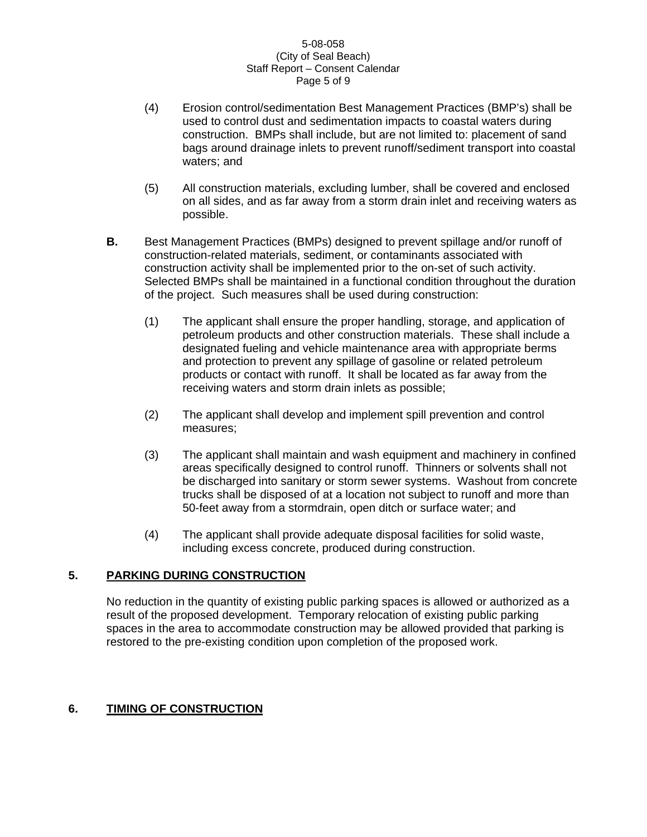#### 5-08-058 (City of Seal Beach) Staff Report – Consent Calendar Page 5 of 9

- (4) Erosion control/sedimentation Best Management Practices (BMP's) shall be used to control dust and sedimentation impacts to coastal waters during construction. BMPs shall include, but are not limited to: placement of sand bags around drainage inlets to prevent runoff/sediment transport into coastal waters; and
- (5) All construction materials, excluding lumber, shall be covered and enclosed on all sides, and as far away from a storm drain inlet and receiving waters as possible.
- **B.** Best Management Practices (BMPs) designed to prevent spillage and/or runoff of construction-related materials, sediment, or contaminants associated with construction activity shall be implemented prior to the on-set of such activity. Selected BMPs shall be maintained in a functional condition throughout the duration of the project. Such measures shall be used during construction:
	- (1) The applicant shall ensure the proper handling, storage, and application of petroleum products and other construction materials. These shall include a designated fueling and vehicle maintenance area with appropriate berms and protection to prevent any spillage of gasoline or related petroleum products or contact with runoff. It shall be located as far away from the receiving waters and storm drain inlets as possible;
	- (2) The applicant shall develop and implement spill prevention and control measures;
	- (3) The applicant shall maintain and wash equipment and machinery in confined areas specifically designed to control runoff. Thinners or solvents shall not be discharged into sanitary or storm sewer systems. Washout from concrete trucks shall be disposed of at a location not subject to runoff and more than 50-feet away from a stormdrain, open ditch or surface water; and
	- (4) The applicant shall provide adequate disposal facilities for solid waste, including excess concrete, produced during construction.

# **5. PARKING DURING CONSTRUCTION**

No reduction in the quantity of existing public parking spaces is allowed or authorized as a result of the proposed development. Temporary relocation of existing public parking spaces in the area to accommodate construction may be allowed provided that parking is restored to the pre-existing condition upon completion of the proposed work.

## **6. TIMING OF CONSTRUCTION**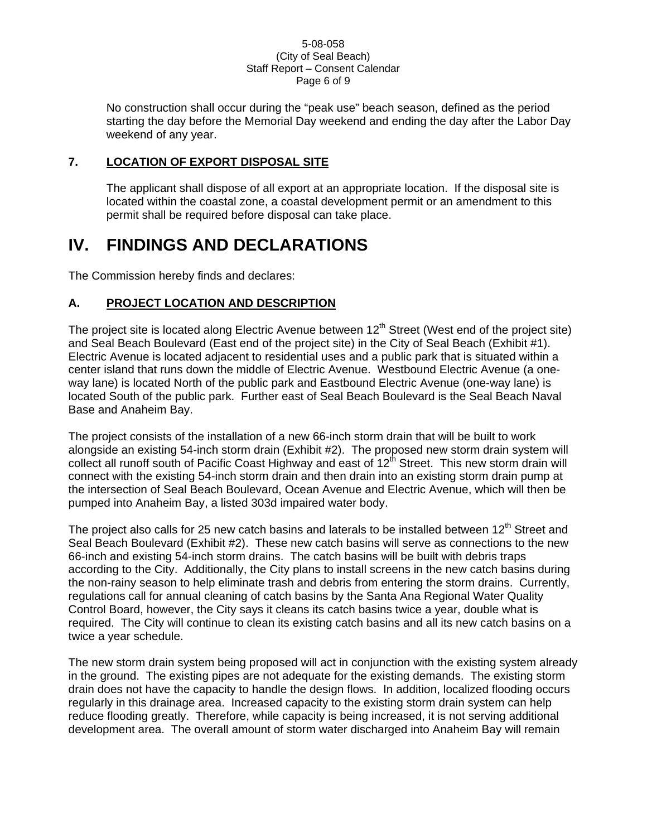#### 5-08-058 (City of Seal Beach) Staff Report – Consent Calendar Page 6 of 9

No construction shall occur during the "peak use" beach season, defined as the period starting the day before the Memorial Day weekend and ending the day after the Labor Day weekend of any year.

## **7. LOCATION OF EXPORT DISPOSAL SITE**

The applicant shall dispose of all export at an appropriate location. If the disposal site is located within the coastal zone, a coastal development permit or an amendment to this permit shall be required before disposal can take place.

# **IV. FINDINGS AND DECLARATIONS**

The Commission hereby finds and declares:

## **A. PROJECT LOCATION AND DESCRIPTION**

The project site is located along Electric Avenue between  $12<sup>th</sup>$  Street (West end of the project site) and Seal Beach Boulevard (East end of the project site) in the City of Seal Beach (Exhibit #1). Electric Avenue is located adjacent to residential uses and a public park that is situated within a center island that runs down the middle of Electric Avenue. Westbound Electric Avenue (a oneway lane) is located North of the public park and Eastbound Electric Avenue (one-way lane) is located South of the public park. Further east of Seal Beach Boulevard is the Seal Beach Naval Base and Anaheim Bay.

The project consists of the installation of a new 66-inch storm drain that will be built to work alongside an existing 54-inch storm drain (Exhibit #2). The proposed new storm drain system will collect all runoff south of Pacific Coast Highway and east of  $12<sup>th</sup>$  Street. This new storm drain will connect with the existing 54-inch storm drain and then drain into an existing storm drain pump at the intersection of Seal Beach Boulevard, Ocean Avenue and Electric Avenue, which will then be pumped into Anaheim Bay, a listed 303d impaired water body.

The project also calls for 25 new catch basins and laterals to be installed between 12<sup>th</sup> Street and Seal Beach Boulevard (Exhibit #2). These new catch basins will serve as connections to the new 66-inch and existing 54-inch storm drains. The catch basins will be built with debris traps according to the City. Additionally, the City plans to install screens in the new catch basins during the non-rainy season to help eliminate trash and debris from entering the storm drains. Currently, regulations call for annual cleaning of catch basins by the Santa Ana Regional Water Quality Control Board, however, the City says it cleans its catch basins twice a year, double what is required. The City will continue to clean its existing catch basins and all its new catch basins on a twice a year schedule.

The new storm drain system being proposed will act in conjunction with the existing system already in the ground. The existing pipes are not adequate for the existing demands. The existing storm drain does not have the capacity to handle the design flows. In addition, localized flooding occurs regularly in this drainage area. Increased capacity to the existing storm drain system can help reduce flooding greatly. Therefore, while capacity is being increased, it is not serving additional development area. The overall amount of storm water discharged into Anaheim Bay will remain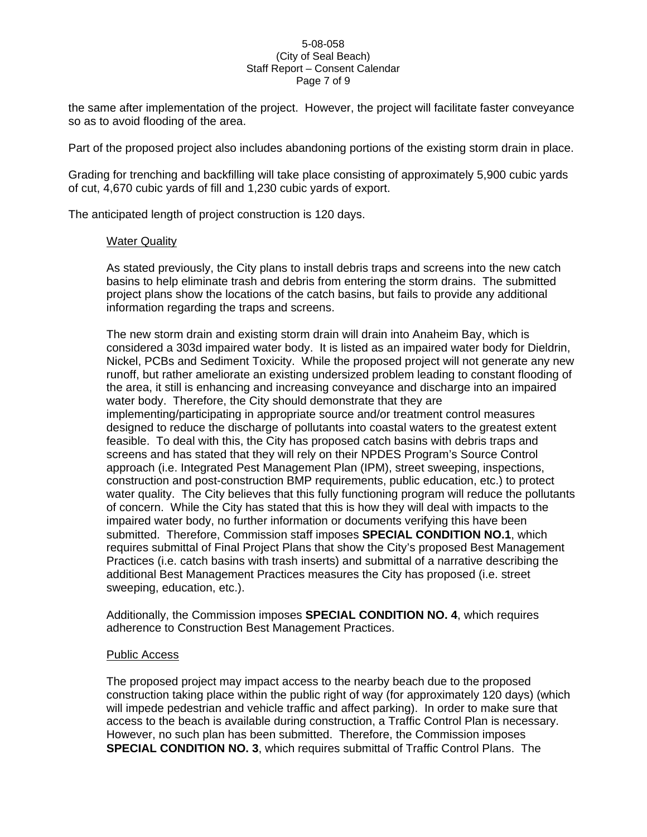#### 5-08-058 (City of Seal Beach) Staff Report – Consent Calendar Page 7 of 9

the same after implementation of the project. However, the project will facilitate faster conveyance so as to avoid flooding of the area.

Part of the proposed project also includes abandoning portions of the existing storm drain in place.

Grading for trenching and backfilling will take place consisting of approximately 5,900 cubic yards of cut, 4,670 cubic yards of fill and 1,230 cubic yards of export.

The anticipated length of project construction is 120 days.

#### Water Quality

As stated previously, the City plans to install debris traps and screens into the new catch basins to help eliminate trash and debris from entering the storm drains. The submitted project plans show the locations of the catch basins, but fails to provide any additional information regarding the traps and screens.

The new storm drain and existing storm drain will drain into Anaheim Bay, which is considered a 303d impaired water body. It is listed as an impaired water body for Dieldrin, Nickel, PCBs and Sediment Toxicity. While the proposed project will not generate any new runoff, but rather ameliorate an existing undersized problem leading to constant flooding of the area, it still is enhancing and increasing conveyance and discharge into an impaired water body. Therefore, the City should demonstrate that they are implementing/participating in appropriate source and/or treatment control measures designed to reduce the discharge of pollutants into coastal waters to the greatest extent feasible. To deal with this, the City has proposed catch basins with debris traps and screens and has stated that they will rely on their NPDES Program's Source Control approach (i.e. Integrated Pest Management Plan (IPM), street sweeping, inspections, construction and post-construction BMP requirements, public education, etc.) to protect water quality. The City believes that this fully functioning program will reduce the pollutants of concern. While the City has stated that this is how they will deal with impacts to the impaired water body, no further information or documents verifying this have been submitted. Therefore, Commission staff imposes **SPECIAL CONDITION NO.1**, which requires submittal of Final Project Plans that show the City's proposed Best Management Practices (i.e. catch basins with trash inserts) and submittal of a narrative describing the additional Best Management Practices measures the City has proposed (i.e. street sweeping, education, etc.).

Additionally, the Commission imposes **SPECIAL CONDITION NO. 4**, which requires adherence to Construction Best Management Practices.

#### Public Access

The proposed project may impact access to the nearby beach due to the proposed construction taking place within the public right of way (for approximately 120 days) (which will impede pedestrian and vehicle traffic and affect parking). In order to make sure that access to the beach is available during construction, a Traffic Control Plan is necessary. However, no such plan has been submitted. Therefore, the Commission imposes **SPECIAL CONDITION NO. 3**, which requires submittal of Traffic Control Plans. The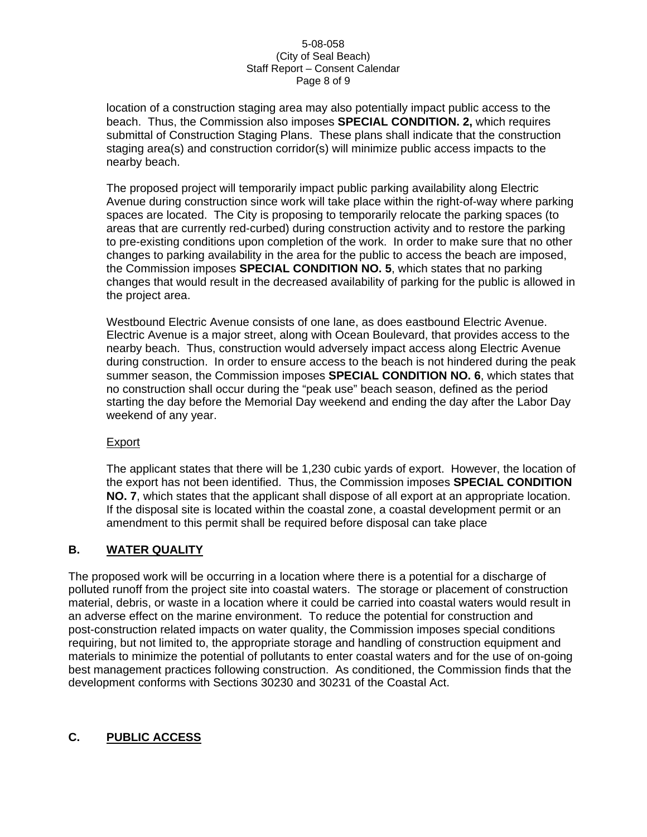#### 5-08-058 (City of Seal Beach) Staff Report – Consent Calendar Page 8 of 9

location of a construction staging area may also potentially impact public access to the beach. Thus, the Commission also imposes **SPECIAL CONDITION. 2,** which requires submittal of Construction Staging Plans. These plans shall indicate that the construction staging area(s) and construction corridor(s) will minimize public access impacts to the nearby beach.

The proposed project will temporarily impact public parking availability along Electric Avenue during construction since work will take place within the right-of-way where parking spaces are located. The City is proposing to temporarily relocate the parking spaces (to areas that are currently red-curbed) during construction activity and to restore the parking to pre-existing conditions upon completion of the work. In order to make sure that no other changes to parking availability in the area for the public to access the beach are imposed, the Commission imposes **SPECIAL CONDITION NO. 5**, which states that no parking changes that would result in the decreased availability of parking for the public is allowed in the project area.

Westbound Electric Avenue consists of one lane, as does eastbound Electric Avenue. Electric Avenue is a major street, along with Ocean Boulevard, that provides access to the nearby beach. Thus, construction would adversely impact access along Electric Avenue during construction. In order to ensure access to the beach is not hindered during the peak summer season, the Commission imposes **SPECIAL CONDITION NO. 6**, which states that no construction shall occur during the "peak use" beach season, defined as the period starting the day before the Memorial Day weekend and ending the day after the Labor Day weekend of any year.

## Export

The applicant states that there will be 1,230 cubic yards of export. However, the location of the export has not been identified. Thus, the Commission imposes **SPECIAL CONDITION NO. 7**, which states that the applicant shall dispose of all export at an appropriate location. If the disposal site is located within the coastal zone, a coastal development permit or an amendment to this permit shall be required before disposal can take place

## **B. WATER QUALITY**

The proposed work will be occurring in a location where there is a potential for a discharge of polluted runoff from the project site into coastal waters. The storage or placement of construction material, debris, or waste in a location where it could be carried into coastal waters would result in an adverse effect on the marine environment. To reduce the potential for construction and post-construction related impacts on water quality, the Commission imposes special conditions requiring, but not limited to, the appropriate storage and handling of construction equipment and materials to minimize the potential of pollutants to enter coastal waters and for the use of on-going best management practices following construction. As conditioned, the Commission finds that the development conforms with Sections 30230 and 30231 of the Coastal Act.

# **C. PUBLIC ACCESS**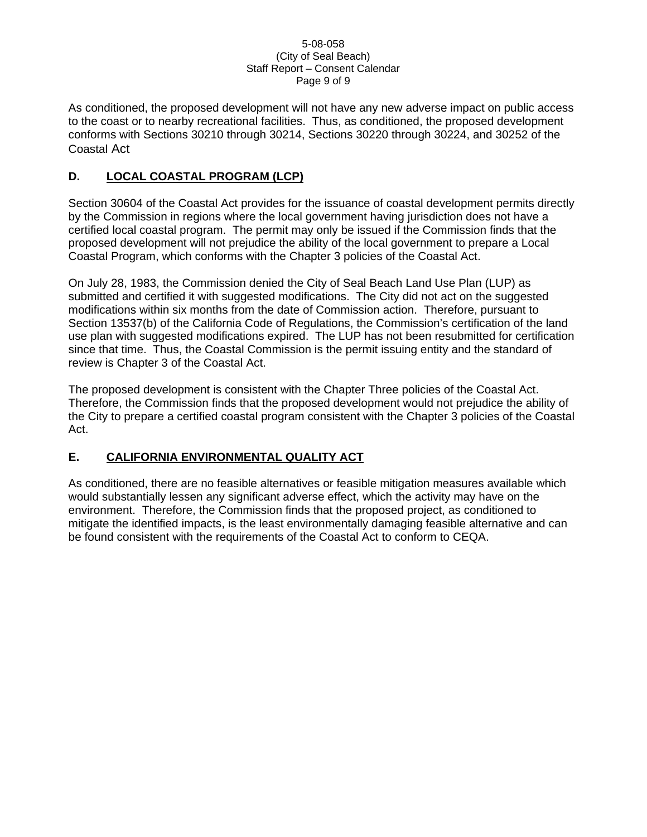#### 5-08-058 (City of Seal Beach) Staff Report – Consent Calendar Page 9 of 9

As conditioned, the proposed development will not have any new adverse impact on public access to the coast or to nearby recreational facilities. Thus, as conditioned, the proposed development conforms with Sections 30210 through 30214, Sections 30220 through 30224, and 30252 of the Coastal Act

# **D. LOCAL COASTAL PROGRAM (LCP)**

Section 30604 of the Coastal Act provides for the issuance of coastal development permits directly by the Commission in regions where the local government having jurisdiction does not have a certified local coastal program. The permit may only be issued if the Commission finds that the proposed development will not prejudice the ability of the local government to prepare a Local Coastal Program, which conforms with the Chapter 3 policies of the Coastal Act.

On July 28, 1983, the Commission denied the City of Seal Beach Land Use Plan (LUP) as submitted and certified it with suggested modifications. The City did not act on the suggested modifications within six months from the date of Commission action. Therefore, pursuant to Section 13537(b) of the California Code of Regulations, the Commission's certification of the land use plan with suggested modifications expired. The LUP has not been resubmitted for certification since that time. Thus, the Coastal Commission is the permit issuing entity and the standard of review is Chapter 3 of the Coastal Act.

The proposed development is consistent with the Chapter Three policies of the Coastal Act. Therefore, the Commission finds that the proposed development would not prejudice the ability of the City to prepare a certified coastal program consistent with the Chapter 3 policies of the Coastal Act.

# **E. CALIFORNIA ENVIRONMENTAL QUALITY ACT**

As conditioned, there are no feasible alternatives or feasible mitigation measures available which would substantially lessen any significant adverse effect, which the activity may have on the environment. Therefore, the Commission finds that the proposed project, as conditioned to mitigate the identified impacts, is the least environmentally damaging feasible alternative and can be found consistent with the requirements of the Coastal Act to conform to CEQA.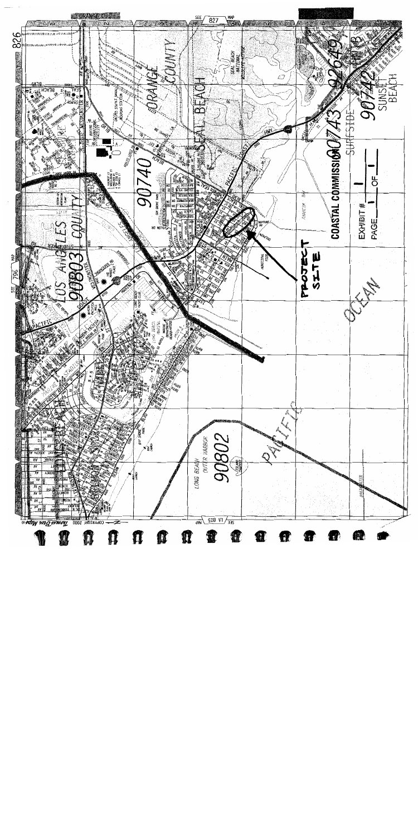